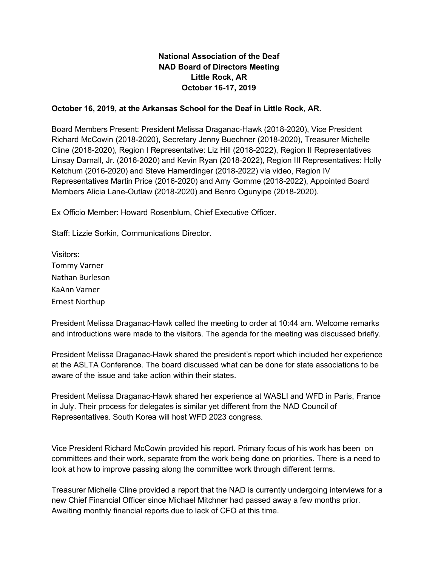# **National Association of the Deaf NAD Board of Directors Meeting Little Rock, AR October 16-17, 2019**

## **October 16, 2019, at the Arkansas School for the Deaf in Little Rock, AR.**

Board Members Present: President Melissa Draganac-Hawk (2018-2020), Vice President Richard McCowin (2018-2020), Secretary Jenny Buechner (2018-2020), Treasurer Michelle Cline (2018-2020), Region I Representative: Liz Hill (2018-2022), Region II Representatives Linsay Darnall, Jr. (2016-2020) and Kevin Ryan (2018-2022), Region III Representatives: Holly Ketchum (2016-2020) and Steve Hamerdinger (2018-2022) via video, Region IV Representatives Martin Price (2016-2020) and Amy Gomme (2018-2022), Appointed Board Members Alicia Lane-Outlaw (2018-2020) and Benro Ogunyipe (2018-2020).

Ex Officio Member: Howard Rosenblum, Chief Executive Officer.

Staff: Lizzie Sorkin, Communications Director.

Visitors: Tommy Varner Nathan Burleson KaAnn Varner Ernest Northup

President Melissa Draganac-Hawk called the meeting to order at 10:44 am. Welcome remarks and introductions were made to the visitors. The agenda for the meeting was discussed briefly.

President Melissa Draganac-Hawk shared the president's report which included her experience at the ASLTA Conference. The board discussed what can be done for state associations to be aware of the issue and take action within their states.

President Melissa Draganac-Hawk shared her experience at WASLI and WFD in Paris, France in July. Their process for delegates is similar yet different from the NAD Council of Representatives. South Korea will host WFD 2023 congress.

Vice President Richard McCowin provided his report. Primary focus of his work has been on committees and their work, separate from the work being done on priorities. There is a need to look at how to improve passing along the committee work through different terms.

Treasurer Michelle Cline provided a report that the NAD is currently undergoing interviews for a new Chief Financial Officer since Michael Mitchner had passed away a few months prior. Awaiting monthly financial reports due to lack of CFO at this time.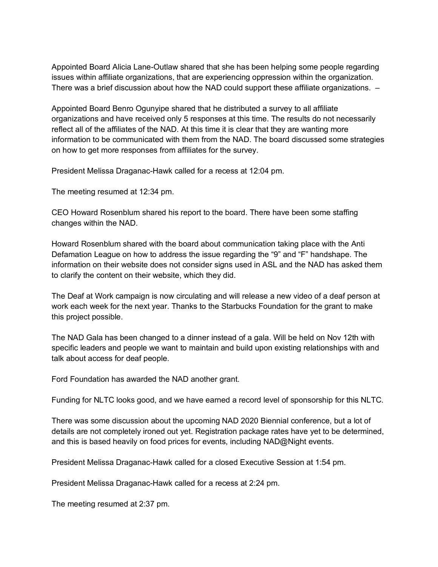Appointed Board Alicia Lane-Outlaw shared that she has been helping some people regarding issues within affiliate organizations, that are experiencing oppression within the organization. There was a brief discussion about how the NAD could support these affiliate organizations. –

Appointed Board Benro Ogunyipe shared that he distributed a survey to all affiliate organizations and have received only 5 responses at this time. The results do not necessarily reflect all of the affiliates of the NAD. At this time it is clear that they are wanting more information to be communicated with them from the NAD. The board discussed some strategies on how to get more responses from affiliates for the survey.

President Melissa Draganac-Hawk called for a recess at 12:04 pm.

The meeting resumed at 12:34 pm.

CEO Howard Rosenblum shared his report to the board. There have been some staffing changes within the NAD.

Howard Rosenblum shared with the board about communication taking place with the Anti Defamation League on how to address the issue regarding the "9" and "F" handshape. The information on their website does not consider signs used in ASL and the NAD has asked them to clarify the content on their website, which they did.

The Deaf at Work campaign is now circulating and will release a new video of a deaf person at work each week for the next year. Thanks to the Starbucks Foundation for the grant to make this project possible.

The NAD Gala has been changed to a dinner instead of a gala. Will be held on Nov 12th with specific leaders and people we want to maintain and build upon existing relationships with and talk about access for deaf people.

Ford Foundation has awarded the NAD another grant.

Funding for NLTC looks good, and we have earned a record level of sponsorship for this NLTC.

There was some discussion about the upcoming NAD 2020 Biennial conference, but a lot of details are not completely ironed out yet. Registration package rates have yet to be determined, and this is based heavily on food prices for events, including NAD@Night events.

President Melissa Draganac-Hawk called for a closed Executive Session at 1:54 pm.

President Melissa Draganac-Hawk called for a recess at 2:24 pm.

The meeting resumed at 2:37 pm.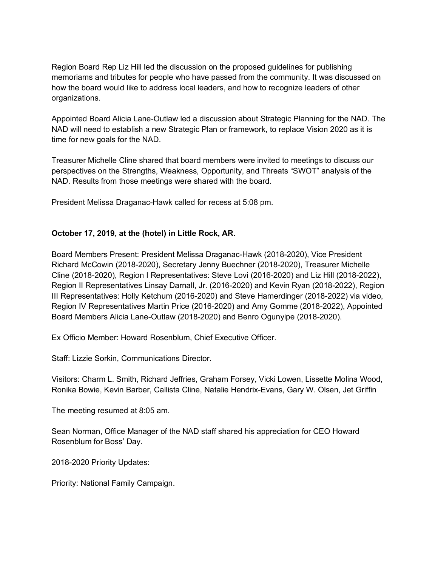Region Board Rep Liz Hill led the discussion on the proposed guidelines for publishing memoriams and tributes for people who have passed from the community. It was discussed on how the board would like to address local leaders, and how to recognize leaders of other organizations.

Appointed Board Alicia Lane-Outlaw led a discussion about Strategic Planning for the NAD. The NAD will need to establish a new Strategic Plan or framework, to replace Vision 2020 as it is time for new goals for the NAD.

Treasurer Michelle Cline shared that board members were invited to meetings to discuss our perspectives on the Strengths, Weakness, Opportunity, and Threats "SWOT" analysis of the NAD. Results from those meetings were shared with the board.

President Melissa Draganac-Hawk called for recess at 5:08 pm.

## **October 17, 2019, at the (hotel) in Little Rock, AR.**

Board Members Present: President Melissa Draganac-Hawk (2018-2020), Vice President Richard McCowin (2018-2020), Secretary Jenny Buechner (2018-2020), Treasurer Michelle Cline (2018-2020), Region I Representatives: Steve Lovi (2016-2020) and Liz Hill (2018-2022), Region II Representatives Linsay Darnall, Jr. (2016-2020) and Kevin Ryan (2018-2022), Region III Representatives: Holly Ketchum (2016-2020) and Steve Hamerdinger (2018-2022) via video, Region IV Representatives Martin Price (2016-2020) and Amy Gomme (2018-2022), Appointed Board Members Alicia Lane-Outlaw (2018-2020) and Benro Ogunyipe (2018-2020).

Ex Officio Member: Howard Rosenblum, Chief Executive Officer.

Staff: Lizzie Sorkin, Communications Director.

Visitors: Charm L. Smith, Richard Jeffries, Graham Forsey, Vicki Lowen, Lissette Molina Wood, Ronika Bowie, Kevin Barber, Callista Cline, Natalie Hendrix-Evans, Gary W. Olsen, Jet Griffin

The meeting resumed at 8:05 am.

Sean Norman, Office Manager of the NAD staff shared his appreciation for CEO Howard Rosenblum for Boss' Day.

2018-2020 Priority Updates:

Priority: National Family Campaign.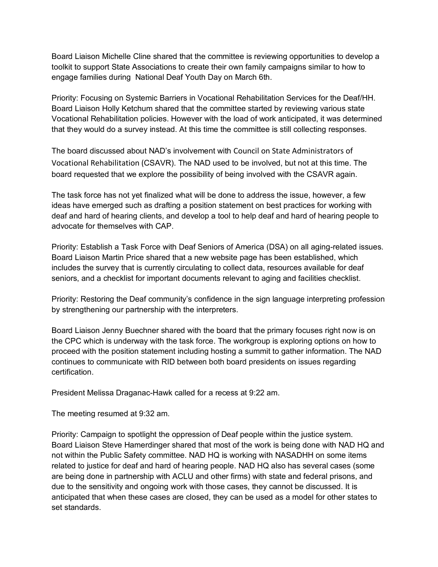Board Liaison Michelle Cline shared that the committee is reviewing opportunities to develop a toolkit to support State Associations to create their own family campaigns similar to how to engage families during National Deaf Youth Day on March 6th.

Priority: Focusing on Systemic Barriers in Vocational Rehabilitation Services for the Deaf/HH. Board Liaison Holly Ketchum shared that the committee started by reviewing various state Vocational Rehabilitation policies. However with the load of work anticipated, it was determined that they would do a survey instead. At this time the committee is still collecting responses.

The board discussed about NAD's involvement with Council on State Administrators of Vocational Rehabilitation (CSAVR). The NAD used to be involved, but not at this time. The board requested that we explore the possibility of being involved with the CSAVR again.

The task force has not yet finalized what will be done to address the issue, however, a few ideas have emerged such as drafting a position statement on best practices for working with deaf and hard of hearing clients, and develop a tool to help deaf and hard of hearing people to advocate for themselves with CAP.

Priority: Establish a Task Force with Deaf Seniors of America (DSA) on all aging-related issues. Board Liaison Martin Price shared that a new website page has been established, which includes the survey that is currently circulating to collect data, resources available for deaf seniors, and a checklist for important documents relevant to aging and facilities checklist.

Priority: Restoring the Deaf community's confidence in the sign language interpreting profession by strengthening our partnership with the interpreters.

Board Liaison Jenny Buechner shared with the board that the primary focuses right now is on the CPC which is underway with the task force. The workgroup is exploring options on how to proceed with the position statement including hosting a summit to gather information. The NAD continues to communicate with RID between both board presidents on issues regarding certification.

President Melissa Draganac-Hawk called for a recess at 9:22 am.

The meeting resumed at 9:32 am.

Priority: Campaign to spotlight the oppression of Deaf people within the justice system. Board Liaison Steve Hamerdinger shared that most of the work is being done with NAD HQ and not within the Public Safety committee. NAD HQ is working with NASADHH on some items related to justice for deaf and hard of hearing people. NAD HQ also has several cases (some are being done in partnership with ACLU and other firms) with state and federal prisons, and due to the sensitivity and ongoing work with those cases, they cannot be discussed. It is anticipated that when these cases are closed, they can be used as a model for other states to set standards.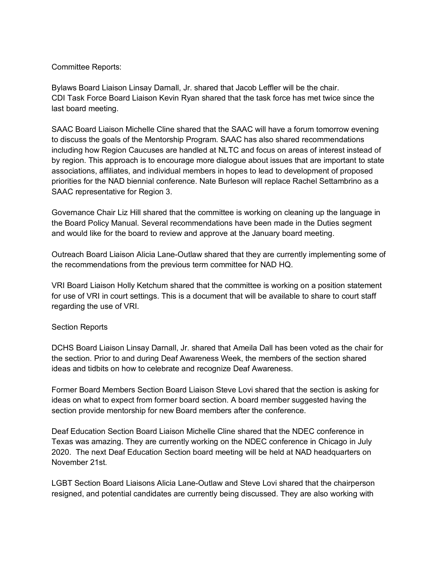#### Committee Reports:

Bylaws Board Liaison Linsay Darnall, Jr. shared that Jacob Leffler will be the chair. CDI Task Force Board Liaison Kevin Ryan shared that the task force has met twice since the last board meeting.

SAAC Board Liaison Michelle Cline shared that the SAAC will have a forum tomorrow evening to discuss the goals of the Mentorship Program. SAAC has also shared recommendations including how Region Caucuses are handled at NLTC and focus on areas of interest instead of by region. This approach is to encourage more dialogue about issues that are important to state associations, affiliates, and individual members in hopes to lead to development of proposed priorities for the NAD biennial conference. Nate Burleson will replace Rachel Settambrino as a SAAC representative for Region 3.

Governance Chair Liz Hill shared that the committee is working on cleaning up the language in the Board Policy Manual. Several recommendations have been made in the Duties segment and would like for the board to review and approve at the January board meeting.

Outreach Board Liaison Alicia Lane-Outlaw shared that they are currently implementing some of the recommendations from the previous term committee for NAD HQ.

VRI Board Liaison Holly Ketchum shared that the committee is working on a position statement for use of VRI in court settings. This is a document that will be available to share to court staff regarding the use of VRI.

#### Section Reports

DCHS Board Liaison Linsay Darnall, Jr. shared that Ameila Dall has been voted as the chair for the section. Prior to and during Deaf Awareness Week, the members of the section shared ideas and tidbits on how to celebrate and recognize Deaf Awareness.

Former Board Members Section Board Liaison Steve Lovi shared that the section is asking for ideas on what to expect from former board section. A board member suggested having the section provide mentorship for new Board members after the conference.

Deaf Education Section Board Liaison Michelle Cline shared that the NDEC conference in Texas was amazing. They are currently working on the NDEC conference in Chicago in July 2020. The next Deaf Education Section board meeting will be held at NAD headquarters on November 21st.

LGBT Section Board Liaisons Alicia Lane-Outlaw and Steve Lovi shared that the chairperson resigned, and potential candidates are currently being discussed. They are also working with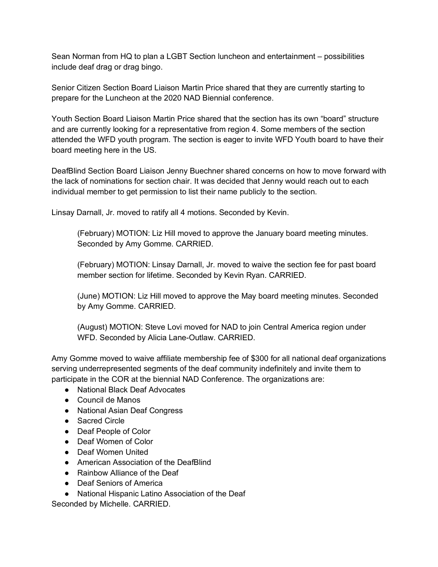Sean Norman from HQ to plan a LGBT Section luncheon and entertainment – possibilities include deaf drag or drag bingo.

Senior Citizen Section Board Liaison Martin Price shared that they are currently starting to prepare for the Luncheon at the 2020 NAD Biennial conference.

Youth Section Board Liaison Martin Price shared that the section has its own "board" structure and are currently looking for a representative from region 4. Some members of the section attended the WFD youth program. The section is eager to invite WFD Youth board to have their board meeting here in the US.

DeafBlind Section Board Liaison Jenny Buechner shared concerns on how to move forward with the lack of nominations for section chair. It was decided that Jenny would reach out to each individual member to get permission to list their name publicly to the section.

Linsay Darnall, Jr. moved to ratify all 4 motions. Seconded by Kevin.

(February) MOTION: Liz Hill moved to approve the January board meeting minutes. Seconded by Amy Gomme. CARRIED.

(February) MOTION: Linsay Darnall, Jr. moved to waive the section fee for past board member section for lifetime. Seconded by Kevin Ryan. CARRIED.

(June) MOTION: Liz Hill moved to approve the May board meeting minutes. Seconded by Amy Gomme. CARRIED.

(August) MOTION: Steve Lovi moved for NAD to join Central America region under WFD. Seconded by Alicia Lane-Outlaw. CARRIED.

Amy Gomme moved to waive affiliate membership fee of \$300 for all national deaf organizations serving underrepresented segments of the deaf community indefinitely and invite them to participate in the COR at the biennial NAD Conference. The organizations are:

- National Black Deaf Advocates
- Council de Manos
- National Asian Deaf Congress
- Sacred Circle
- Deaf People of Color
- Deaf Women of Color
- Deaf Women United
- American Association of the DeafBlind
- Rainbow Alliance of the Deaf
- Deaf Seniors of America
- National Hispanic Latino Association of the Deaf

Seconded by Michelle. CARRIED.